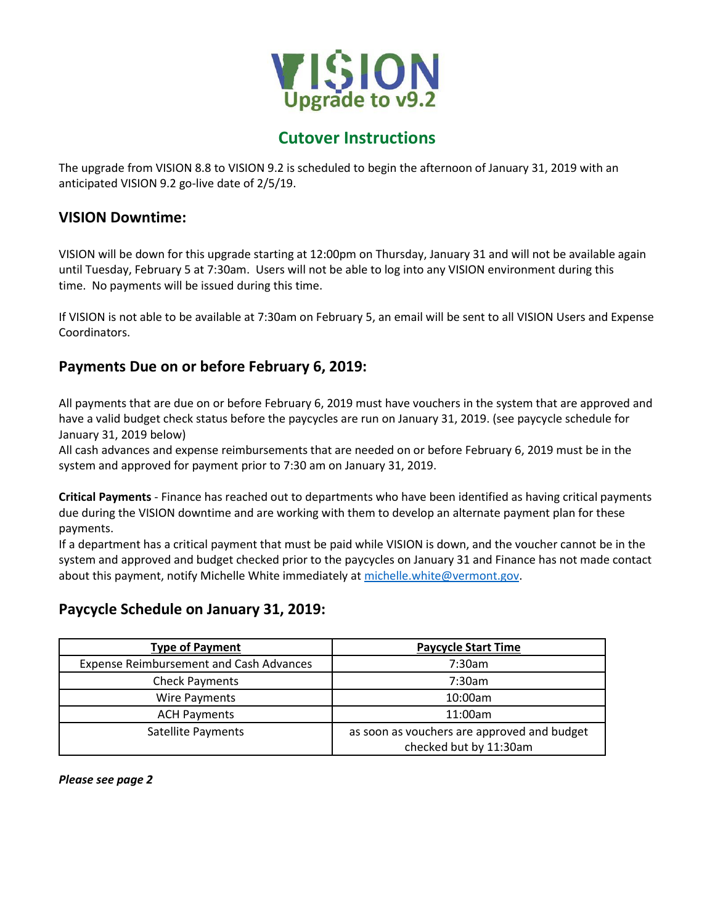

# **Cutover Instructions**

The upgrade from VISION 8.8 to VISION 9.2 is scheduled to begin the afternoon of January 31, 2019 with an anticipated VISION 9.2 go-live date of 2/5/19.

#### **VISION Downtime:**

VISION will be down for this upgrade starting at 12:00pm on Thursday, January 31 and will not be available again until Tuesday, February 5 at 7:30am. Users will not be able to log into any VISION environment during this time. No payments will be issued during this time.

If VISION is not able to be available at 7:30am on February 5, an email will be sent to all VISION Users and Expense Coordinators.

## **Payments Due on or before February 6, 2019:**

All payments that are due on or before February 6, 2019 must have vouchers in the system that are approved and have a valid budget check status before the paycycles are run on January 31, 2019. (see paycycle schedule for January 31, 2019 below)

All cash advances and expense reimbursements that are needed on or before February 6, 2019 must be in the system and approved for payment prior to 7:30 am on January 31, 2019.

**Critical Payments** - Finance has reached out to departments who have been identified as having critical payments due during the VISION downtime and are working with them to develop an alternate payment plan for these payments.

If a department has a critical payment that must be paid while VISION is down, and the voucher cannot be in the system and approved and budget checked prior to the paycycles on January 31 and Finance has not made contact about this payment, notify Michelle White immediately at [michelle.white@vermont.gov.](mailto:michelle.white@vermont.gov)

### **Paycycle Schedule on January 31, 2019:**

| <b>Type of Payment</b>                         | <b>Paycycle Start Time</b>                  |
|------------------------------------------------|---------------------------------------------|
| <b>Expense Reimbursement and Cash Advances</b> | 7:30am                                      |
| <b>Check Payments</b>                          | 7:30am                                      |
| Wire Payments                                  | 10:00am                                     |
| <b>ACH Payments</b>                            | 11:00am                                     |
| Satellite Payments                             | as soon as vouchers are approved and budget |
|                                                | checked but by 11:30am                      |

*Please see page 2*